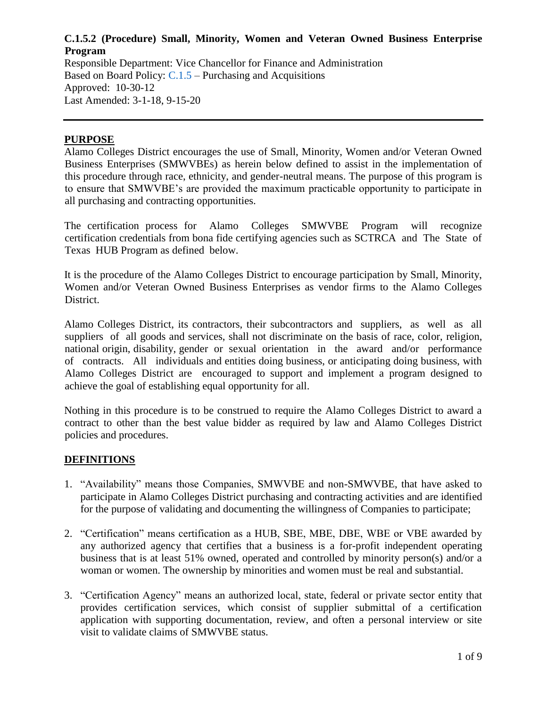Responsible Department: Vice Chancellor for Finance and Administration Based on Board Policy: [C.1.5](https://www.alamo.edu/siteassets/district/about-us/leadership/board-of-trustees/policies-pdfs/section-c/c.1.5-policy.pdf) – Purchasing and Acquisitions Approved: 10-30-12 Last Amended: 3-1-18, 9-15-20

#### **PURPOSE**

Alamo Colleges District encourages the use of Small, Minority, Women and/or Veteran Owned Business Enterprises (SMWVBEs) as herein below defined to assist in the implementation of this procedure through race, ethnicity, and gender-neutral means. The purpose of this program is to ensure that SMWVBE's are provided the maximum practicable opportunity to participate in all purchasing and contracting opportunities.

The certification process for Alamo Colleges SMWVBE Program will recognize certification credentials from bona fide certifying agencies such as SCTRCA and The State of Texas HUB Program as defined below.

It is the procedure of the Alamo Colleges District to encourage participation by Small, Minority, Women and/or Veteran Owned Business Enterprises as vendor firms to the Alamo Colleges District.

Alamo Colleges District, its contractors, their subcontractors and suppliers, as well as all suppliers of all goods and services, shall not discriminate on the basis of race, color, religion, national origin, disability, gender or sexual orientation in the award and/or performance of contracts. All individuals and entities doing business, or anticipating doing business, with Alamo Colleges District are encouraged to support and implement a program designed to achieve the goal of establishing equal opportunity for all.

Nothing in this procedure is to be construed to require the Alamo Colleges District to award a contract to other than the best value bidder as required by law and Alamo Colleges District policies and procedures.

#### **DEFINITIONS**

- 1. "Availability" means those Companies, SMWVBE and non-SMWVBE, that have asked to participate in Alamo Colleges District purchasing and contracting activities and are identified for the purpose of validating and documenting the willingness of Companies to participate;
- 2. "Certification" means certification as a HUB, SBE, MBE, DBE, WBE or VBE awarded by any authorized agency that certifies that a business is a for-profit independent operating business that is at least 51% owned, operated and controlled by minority person(s) and/or a woman or women. The ownership by minorities and women must be real and substantial.
- 3. "Certification Agency" means an authorized local, state, federal or private sector entity that provides certification services, which consist of supplier submittal of a certification application with supporting documentation, review, and often a personal interview or site visit to validate claims of SMWVBE status.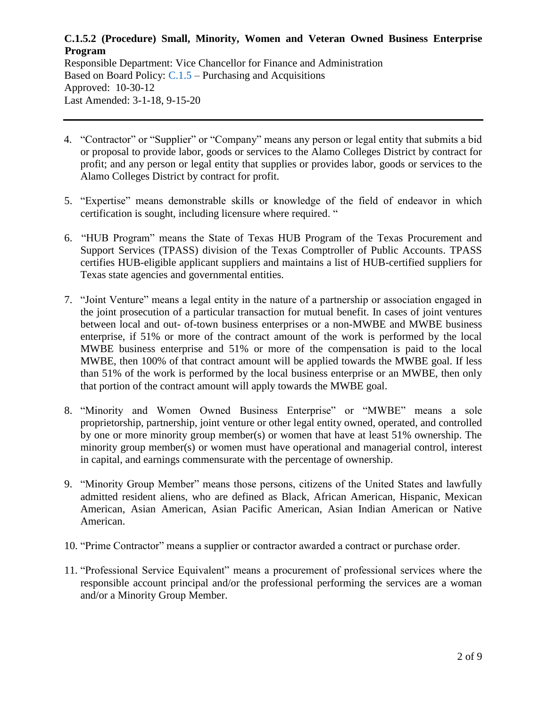Responsible Department: Vice Chancellor for Finance and Administration Based on Board Policy: [C.1.5](https://www.alamo.edu/siteassets/district/about-us/leadership/board-of-trustees/policies-pdfs/section-c/c.1.5-policy.pdf) – Purchasing and Acquisitions Approved: 10-30-12 Last Amended: 3-1-18, 9-15-20

- 4. "Contractor" or "Supplier" or "Company" means any person or legal entity that submits a bid or proposal to provide labor, goods or services to the Alamo Colleges District by contract for profit; and any person or legal entity that supplies or provides labor, goods or services to the Alamo Colleges District by contract for profit.
- 5. "Expertise" means demonstrable skills or knowledge of the field of endeavor in which certification is sought, including licensure where required. "
- 6. "HUB Program" means the State of Texas HUB Program of the Texas Procurement and Support Services (TPASS) division of the Texas Comptroller of Public Accounts. TPASS certifies HUB-eligible applicant suppliers and maintains a list of HUB-certified suppliers for Texas state agencies and governmental entities.
- 7. "Joint Venture" means a legal entity in the nature of a partnership or association engaged in the joint prosecution of a particular transaction for mutual benefit. In cases of joint ventures between local and out- of-town business enterprises or a non-MWBE and MWBE business enterprise, if 51% or more of the contract amount of the work is performed by the local MWBE business enterprise and 51% or more of the compensation is paid to the local MWBE, then 100% of that contract amount will be applied towards the MWBE goal. If less than 51% of the work is performed by the local business enterprise or an MWBE, then only that portion of the contract amount will apply towards the MWBE goal.
- 8. "Minority and Women Owned Business Enterprise" or "MWBE" means a sole proprietorship, partnership, joint venture or other legal entity owned, operated, and controlled by one or more minority group member(s) or women that have at least 51% ownership. The minority group member(s) or women must have operational and managerial control, interest in capital, and earnings commensurate with the percentage of ownership.
- 9. "Minority Group Member" means those persons, citizens of the United States and lawfully admitted resident aliens, who are defined as Black, African American, Hispanic, Mexican American, Asian American, Asian Pacific American, Asian Indian American or Native American.
- 10. "Prime Contractor" means a supplier or contractor awarded a contract or purchase order.
- 11. "Professional Service Equivalent" means a procurement of professional services where the responsible account principal and/or the professional performing the services are a woman and/or a Minority Group Member.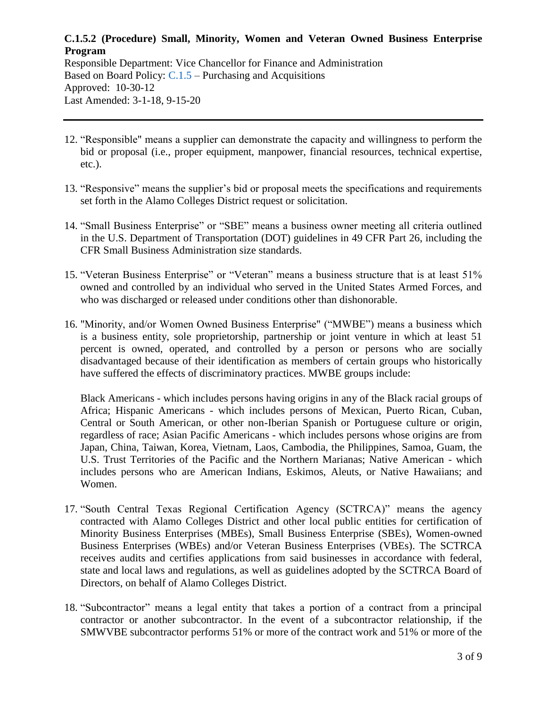Responsible Department: Vice Chancellor for Finance and Administration Based on Board Policy: [C.1.5](https://www.alamo.edu/siteassets/district/about-us/leadership/board-of-trustees/policies-pdfs/section-c/c.1.5-policy.pdf) – Purchasing and Acquisitions Approved: 10-30-12 Last Amended: 3-1-18, 9-15-20

- 12. "Responsible" means a supplier can demonstrate the capacity and willingness to perform the bid or proposal (i.e., proper equipment, manpower, financial resources, technical expertise, etc.).
- 13. "Responsive" means the supplier's bid or proposal meets the specifications and requirements set forth in the Alamo Colleges District request or solicitation.
- 14. "Small Business Enterprise" or "SBE" means a business owner meeting all criteria outlined in the U.S. Department of Transportation (DOT) guidelines in 49 CFR Part 26, including the CFR Small Business Administration size standards.
- 15. "Veteran Business Enterprise" or "Veteran" means a business structure that is at least 51% owned and controlled by an individual who served in the United States Armed Forces, and who was discharged or released under conditions other than dishonorable.
- 16. "Minority, and/or Women Owned Business Enterprise" ("MWBE") means a business which is a business entity, sole proprietorship, partnership or joint venture in which at least 51 percent is owned, operated, and controlled by a person or persons who are socially disadvantaged because of their identification as members of certain groups who historically have suffered the effects of discriminatory practices. MWBE groups include:

Black Americans - which includes persons having origins in any of the Black racial groups of Africa; Hispanic Americans - which includes persons of Mexican, Puerto Rican, Cuban, Central or South American, or other non-Iberian Spanish or Portuguese culture or origin, regardless of race; Asian Pacific Americans - which includes persons whose origins are from Japan, China, Taiwan, Korea, Vietnam, Laos, Cambodia, the Philippines, Samoa, Guam, the U.S. Trust Territories of the Pacific and the Northern Marianas; Native American - which includes persons who are American Indians, Eskimos, Aleuts, or Native Hawaiians; and Women.

- 17. "South Central Texas Regional Certification Agency (SCTRCA)" means the agency contracted with Alamo Colleges District and other local public entities for certification of Minority Business Enterprises (MBEs), Small Business Enterprise (SBEs), Women-owned Business Enterprises (WBEs) and/or Veteran Business Enterprises (VBEs). The SCTRCA receives audits and certifies applications from said businesses in accordance with federal, state and local laws and regulations, as well as guidelines adopted by the SCTRCA Board of Directors, on behalf of Alamo Colleges District.
- 18. "Subcontractor" means a legal entity that takes a portion of a contract from a principal contractor or another subcontractor. In the event of a subcontractor relationship, if the SMWVBE subcontractor performs 51% or more of the contract work and 51% or more of the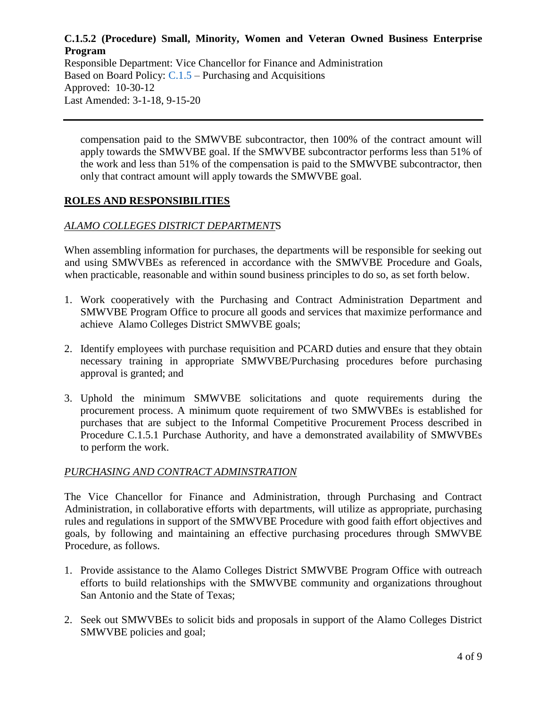Responsible Department: Vice Chancellor for Finance and Administration Based on Board Policy: [C.1.5](https://www.alamo.edu/siteassets/district/about-us/leadership/board-of-trustees/policies-pdfs/section-c/c.1.5-policy.pdf) – Purchasing and Acquisitions Approved: 10-30-12 Last Amended: 3-1-18, 9-15-20

compensation paid to the SMWVBE subcontractor, then 100% of the contract amount will apply towards the SMWVBE goal. If the SMWVBE subcontractor performs less than 51% of the work and less than 51% of the compensation is paid to the SMWVBE subcontractor, then only that contract amount will apply towards the SMWVBE goal.

# **ROLES AND RESPONSIBILITIES**

#### *ALAMO COLLEGES DISTRICT DEPARTMENT*S

When assembling information for purchases, the departments will be responsible for seeking out and using SMWVBEs as referenced in accordance with the SMWVBE Procedure and Goals, when practicable, reasonable and within sound business principles to do so, as set forth below.

- 1. Work cooperatively with the Purchasing and Contract Administration Department and SMWVBE Program Office to procure all goods and services that maximize performance and achieve Alamo Colleges District SMWVBE goals;
- 2. Identify employees with purchase requisition and PCARD duties and ensure that they obtain necessary training in appropriate SMWVBE/Purchasing procedures before purchasing approval is granted; and
- 3. Uphold the minimum SMWVBE solicitations and quote requirements during the procurement process. A minimum quote requirement of two SMWVBEs is established for purchases that are subject to the Informal Competitive Procurement Process described in Procedure C.1.5.1 Purchase Authority, and have a demonstrated availability of SMWVBEs to perform the work.

#### *PURCHASING AND CONTRACT ADMINSTRATION*

The Vice Chancellor for Finance and Administration, through Purchasing and Contract Administration, in collaborative efforts with departments, will utilize as appropriate, purchasing rules and regulations in support of the SMWVBE Procedure with good faith effort objectives and goals, by following and maintaining an effective purchasing procedures through SMWVBE Procedure, as follows.

- 1. Provide assistance to the Alamo Colleges District SMWVBE Program Office with outreach efforts to build relationships with the SMWVBE community and organizations throughout San Antonio and the State of Texas;
- 2. Seek out SMWVBEs to solicit bids and proposals in support of the Alamo Colleges District SMWVBE policies and goal;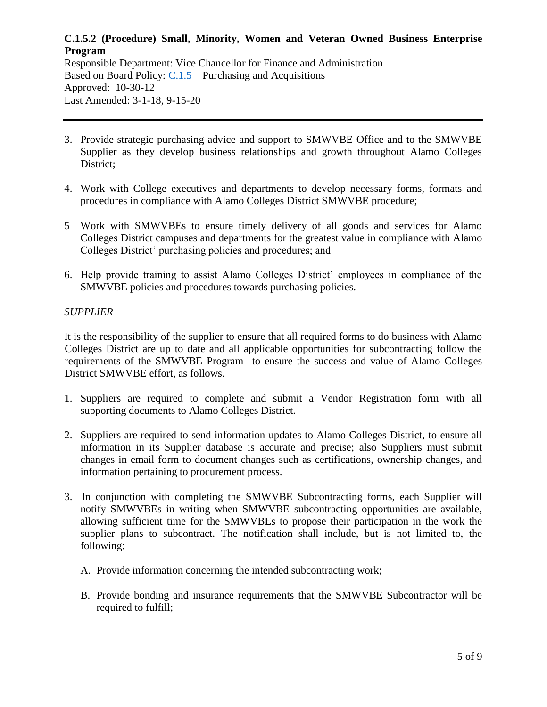Responsible Department: Vice Chancellor for Finance and Administration Based on Board Policy: [C.1.5](https://www.alamo.edu/siteassets/district/about-us/leadership/board-of-trustees/policies-pdfs/section-c/c.1.5-policy.pdf) – Purchasing and Acquisitions Approved: 10-30-12 Last Amended: 3-1-18, 9-15-20

- 3. Provide strategic purchasing advice and support to SMWVBE Office and to the SMWVBE Supplier as they develop business relationships and growth throughout Alamo Colleges District;
- 4. Work with College executives and departments to develop necessary forms, formats and procedures in compliance with Alamo Colleges District SMWVBE procedure;
- 5 Work with SMWVBEs to ensure timely delivery of all goods and services for Alamo Colleges District campuses and departments for the greatest value in compliance with Alamo Colleges District' purchasing policies and procedures; and
- 6. Help provide training to assist Alamo Colleges District' employees in compliance of the SMWVBE policies and procedures towards purchasing policies.

#### *SUPPLIER*

It is the responsibility of the supplier to ensure that all required forms to do business with Alamo Colleges District are up to date and all applicable opportunities for subcontracting follow the requirements of the SMWVBE Program to ensure the success and value of Alamo Colleges District SMWVBE effort, as follows.

- 1. Suppliers are required to complete and submit a Vendor Registration form with all supporting documents to Alamo Colleges District.
- 2. Suppliers are required to send information updates to Alamo Colleges District, to ensure all information in its Supplier database is accurate and precise; also Suppliers must submit changes in email form to document changes such as certifications, ownership changes, and information pertaining to procurement process.
- 3. In conjunction with completing the SMWVBE Subcontracting forms, each Supplier will notify SMWVBEs in writing when SMWVBE subcontracting opportunities are available, allowing sufficient time for the SMWVBEs to propose their participation in the work the supplier plans to subcontract. The notification shall include, but is not limited to, the following:
	- A. Provide information concerning the intended subcontracting work;
	- B. Provide bonding and insurance requirements that the SMWVBE Subcontractor will be required to fulfill;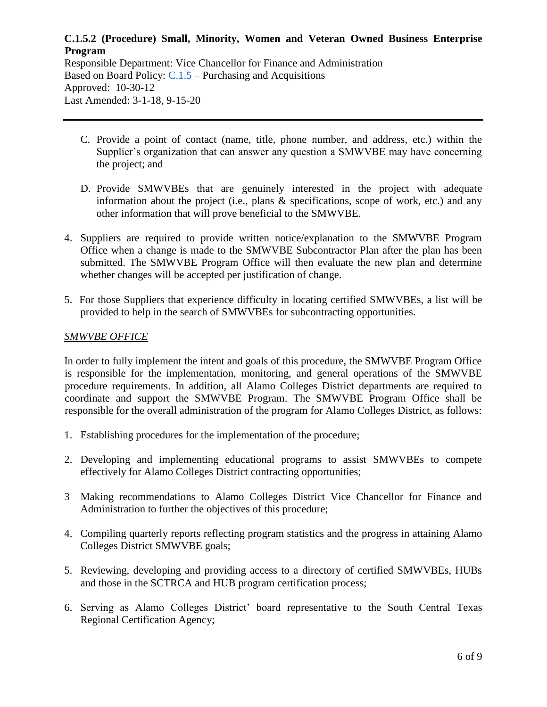Responsible Department: Vice Chancellor for Finance and Administration Based on Board Policy: [C.1.5](https://www.alamo.edu/siteassets/district/about-us/leadership/board-of-trustees/policies-pdfs/section-c/c.1.5-policy.pdf) – Purchasing and Acquisitions Approved: 10-30-12 Last Amended: 3-1-18, 9-15-20

- C. Provide a point of contact (name, title, phone number, and address, etc.) within the Supplier's organization that can answer any question a SMWVBE may have concerning the project; and
- D. Provide SMWVBEs that are genuinely interested in the project with adequate information about the project (i.e., plans & specifications, scope of work, etc.) and any other information that will prove beneficial to the SMWVBE.
- 4. Suppliers are required to provide written notice/explanation to the SMWVBE Program Office when a change is made to the SMWVBE Subcontractor Plan after the plan has been submitted. The SMWVBE Program Office will then evaluate the new plan and determine whether changes will be accepted per justification of change.
- 5. For those Suppliers that experience difficulty in locating certified SMWVBEs, a list will be provided to help in the search of SMWVBEs for subcontracting opportunities.

#### *SMWVBE OFFICE*

In order to fully implement the intent and goals of this procedure, the SMWVBE Program Office is responsible for the implementation, monitoring, and general operations of the SMWVBE procedure requirements. In addition, all Alamo Colleges District departments are required to coordinate and support the SMWVBE Program. The SMWVBE Program Office shall be responsible for the overall administration of the program for Alamo Colleges District, as follows:

- 1. Establishing procedures for the implementation of the procedure;
- 2. Developing and implementing educational programs to assist SMWVBEs to compete effectively for Alamo Colleges District contracting opportunities;
- 3 Making recommendations to Alamo Colleges District Vice Chancellor for Finance and Administration to further the objectives of this procedure;
- 4. Compiling quarterly reports reflecting program statistics and the progress in attaining Alamo Colleges District SMWVBE goals;
- 5. Reviewing, developing and providing access to a directory of certified SMWVBEs, HUBs and those in the SCTRCA and HUB program certification process;
- 6. Serving as Alamo Colleges District' board representative to the South Central Texas Regional Certification Agency;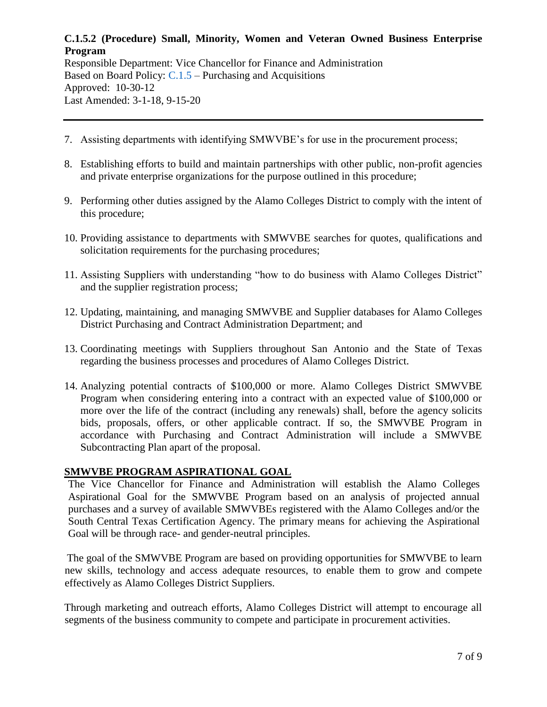Responsible Department: Vice Chancellor for Finance and Administration Based on Board Policy: [C.1.5](https://www.alamo.edu/siteassets/district/about-us/leadership/board-of-trustees/policies-pdfs/section-c/c.1.5-policy.pdf) – Purchasing and Acquisitions Approved: 10-30-12 Last Amended: 3-1-18, 9-15-20

- 7. Assisting departments with identifying SMWVBE's for use in the procurement process;
- 8. Establishing efforts to build and maintain partnerships with other public, non-profit agencies and private enterprise organizations for the purpose outlined in this procedure;
- 9. Performing other duties assigned by the Alamo Colleges District to comply with the intent of this procedure;
- 10. Providing assistance to departments with SMWVBE searches for quotes, qualifications and solicitation requirements for the purchasing procedures;
- 11. Assisting Suppliers with understanding "how to do business with Alamo Colleges District" and the supplier registration process;
- 12. Updating, maintaining, and managing SMWVBE and Supplier databases for Alamo Colleges District Purchasing and Contract Administration Department; and
- 13. Coordinating meetings with Suppliers throughout San Antonio and the State of Texas regarding the business processes and procedures of Alamo Colleges District.
- 14. Analyzing potential contracts of \$100,000 or more. Alamo Colleges District SMWVBE Program when considering entering into a contract with an expected value of \$100,000 or more over the life of the contract (including any renewals) shall, before the agency solicits bids, proposals, offers, or other applicable contract. If so, the SMWVBE Program in accordance with Purchasing and Contract Administration will include a SMWVBE Subcontracting Plan apart of the proposal.

# **SMWVBE PROGRAM ASPIRATIONAL GOAL**

The Vice Chancellor for Finance and Administration will establish the Alamo Colleges Aspirational Goal for the SMWVBE Program based on an analysis of projected annual purchases and a survey of available SMWVBEs registered with the Alamo Colleges and/or the South Central Texas Certification Agency. The primary means for achieving the Aspirational Goal will be through race- and gender-neutral principles.

The goal of the SMWVBE Program are based on providing opportunities for SMWVBE to learn new skills, technology and access adequate resources, to enable them to grow and compete effectively as Alamo Colleges District Suppliers.

Through marketing and outreach efforts, Alamo Colleges District will attempt to encourage all segments of the business community to compete and participate in procurement activities.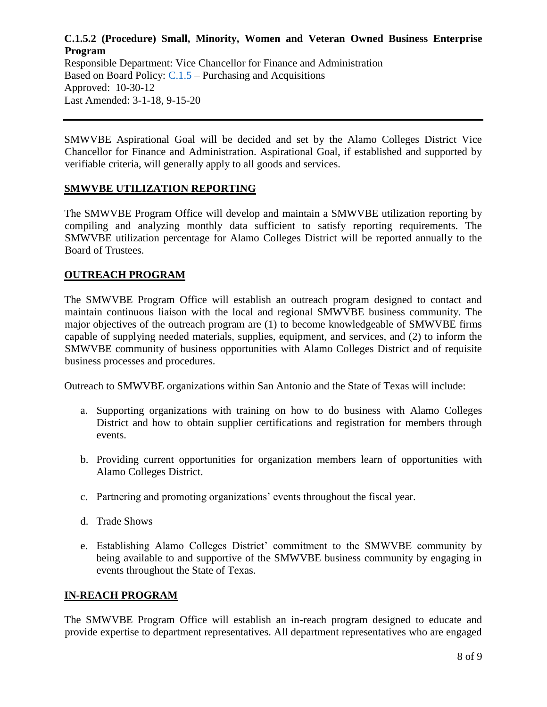Responsible Department: Vice Chancellor for Finance and Administration Based on Board Policy: [C.1.5](https://www.alamo.edu/siteassets/district/about-us/leadership/board-of-trustees/policies-pdfs/section-c/c.1.5-policy.pdf) – Purchasing and Acquisitions Approved: 10-30-12 Last Amended: 3-1-18, 9-15-20

SMWVBE Aspirational Goal will be decided and set by the Alamo Colleges District Vice Chancellor for Finance and Administration. Aspirational Goal, if established and supported by verifiable criteria, will generally apply to all goods and services.

#### **SMWVBE UTILIZATION REPORTING**

The SMWVBE Program Office will develop and maintain a SMWVBE utilization reporting by compiling and analyzing monthly data sufficient to satisfy reporting requirements. The SMWVBE utilization percentage for Alamo Colleges District will be reported annually to the Board of Trustees.

#### **OUTREACH PROGRAM**

The SMWVBE Program Office will establish an outreach program designed to contact and maintain continuous liaison with the local and regional SMWVBE business community. The major objectives of the outreach program are (1) to become knowledgeable of SMWVBE firms capable of supplying needed materials, supplies, equipment, and services, and (2) to inform the SMWVBE community of business opportunities with Alamo Colleges District and of requisite business processes and procedures.

Outreach to SMWVBE organizations within San Antonio and the State of Texas will include:

- a. Supporting organizations with training on how to do business with Alamo Colleges District and how to obtain supplier certifications and registration for members through events.
- b. Providing current opportunities for organization members learn of opportunities with Alamo Colleges District.
- c. Partnering and promoting organizations' events throughout the fiscal year.
- d. Trade Shows
- e. Establishing Alamo Colleges District' commitment to the SMWVBE community by being available to and supportive of the SMWVBE business community by engaging in events throughout the State of Texas.

#### **IN-REACH PROGRAM**

The SMWVBE Program Office will establish an in-reach program designed to educate and provide expertise to department representatives. All department representatives who are engaged